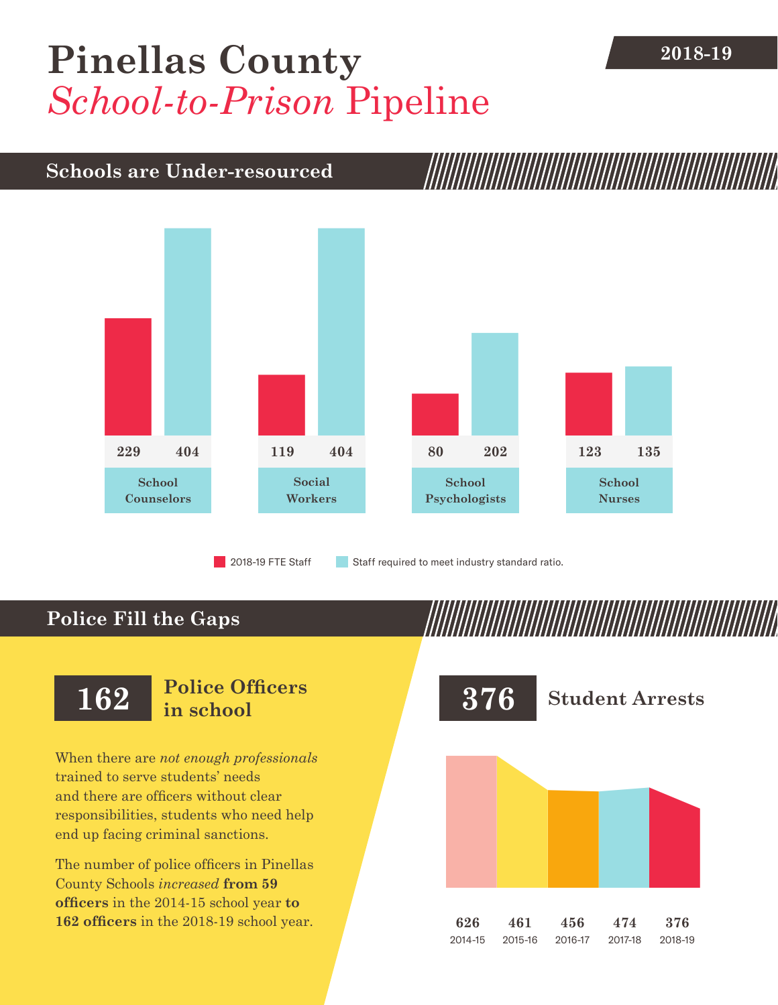# [Pinellas County](DBF_County) **2018-19** *School-to-Prison* Pipeline

#### **Schools are Under-resourced**



2018-19 FTE Staff **Staff required to meet industry standard ratio.** 

### **Police Fill the Gaps**

When there are *not enough professionals* trained to serve students' needs and there are officers without clear responsibilities, students who need help end up facing criminal sanctions.

The number of police officers in [Pinellas](DBF_County)  [County](DBF_County) Schools *increased* **from [59](DBF_PO1415)  officers** in the 2014-15 school year **to [162](DBF_PO) officers** in the 2018-19 school year.